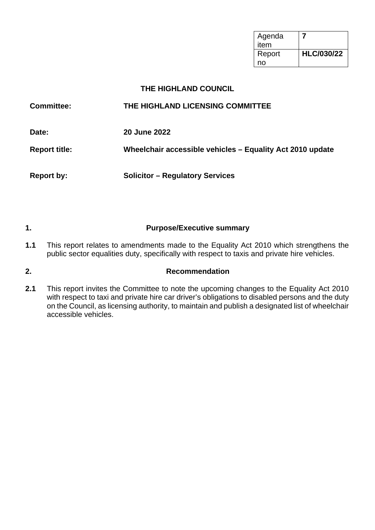| Agenda<br>item |                   |
|----------------|-------------------|
| Report         | <b>HLC/030/22</b> |
| no             |                   |

## **THE HIGHLAND COUNCIL**

| <b>Committee:</b>    | THE HIGHLAND LICENSING COMMITTEE                          |
|----------------------|-----------------------------------------------------------|
| Date:                | <b>20 June 2022</b>                                       |
| <b>Report title:</b> | Wheelchair accessible vehicles - Equality Act 2010 update |
| <b>Report by:</b>    | <b>Solicitor - Regulatory Services</b>                    |

## **1. Purpose/Executive summary**

**1.1** This report relates to amendments made to the Equality Act 2010 which strengthens the public sector equalities duty, specifically with respect to taxis and private hire vehicles.

## **2. Recommendation**

**2.1** This report invites the Committee to note the upcoming changes to the Equality Act 2010 with respect to taxi and private hire car driver's obligations to disabled persons and the duty on the Council, as licensing authority, to maintain and publish a designated list of wheelchair accessible vehicles.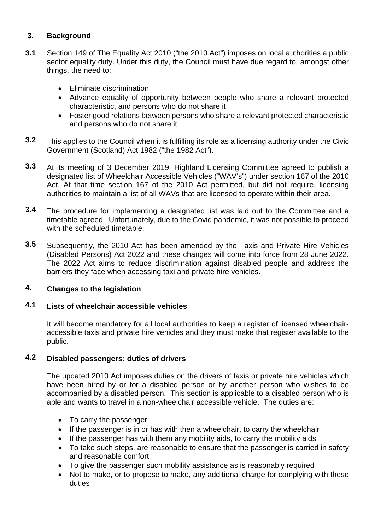## **3. Background**

- **3.1** Section 149 of The Equality Act 2010 ("the 2010 Act") imposes on local authorities a public sector equality duty. Under this duty, the Council must have due regard to, amongst other things, the need to:
	- Eliminate discrimination
	- Advance equality of opportunity between people who share a relevant protected characteristic, and persons who do not share it
	- Foster good relations between persons who share a relevant protected characteristic and persons who do not share it
- **3.2** This applies to the Council when it is fulfilling its role as a licensing authority under the Civic Government (Scotland) Act 1982 ("the 1982 Act").
- **3.3** At its meeting of 3 December 2019, Highland Licensing Committee agreed to publish a designated list of Wheelchair Accessible Vehicles ("WAV's") under section 167 of the 2010 Act. At that time section 167 of the 2010 Act permitted, but did not require, licensing authorities to maintain a list of all WAVs that are licensed to operate within their area.
- **3.4** The procedure for implementing a designated list was laid out to the Committee and a timetable agreed. Unfortunately, due to the Covid pandemic, it was not possible to proceed with the scheduled timetable.
- **3.5** Subsequently, the 2010 Act has been amended by the Taxis and Private Hire Vehicles (Disabled Persons) Act 2022 and these changes will come into force from 28 June 2022. The 2022 Act aims to reduce discrimination against disabled people and address the barriers they face when accessing taxi and private hire vehicles.

#### **4. Changes to the legislation**

#### **4.1 Lists of wheelchair accessible vehicles**

It will become mandatory for all local authorities to keep a register of licensed wheelchairaccessible taxis and private hire vehicles and they must make that register available to the public.

#### **4.2 Disabled passengers: duties of drivers**

The updated 2010 Act imposes duties on the drivers of taxis or private hire vehicles which have been hired by or for a disabled person or by another person who wishes to be accompanied by a disabled person. This section is applicable to a disabled person who is able and wants to travel in a non-wheelchair accessible vehicle. The duties are:

- To carry the passenger
- If the passenger is in or has with then a wheelchair, to carry the wheelchair
- If the passenger has with them any mobility aids, to carry the mobility aids
- To take such steps, are reasonable to ensure that the passenger is carried in safety and reasonable comfort
- To give the passenger such mobility assistance as is reasonably required
- Not to make, or to propose to make, any additional charge for complying with these duties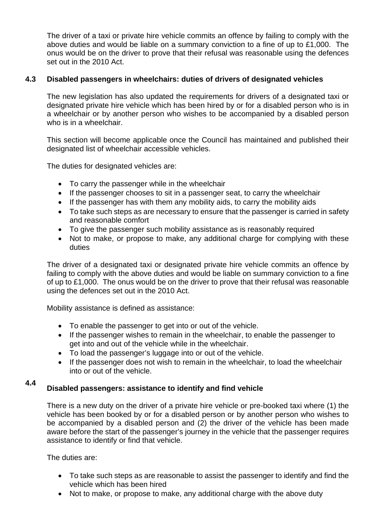The driver of a taxi or private hire vehicle commits an offence by failing to comply with the above duties and would be liable on a summary conviction to a fine of up to £1,000. The onus would be on the driver to prove that their refusal was reasonable using the defences set out in the 2010 Act.

#### **4.3 Disabled passengers in wheelchairs: duties of drivers of designated vehicles**

The new legislation has also updated the requirements for drivers of a designated taxi or designated private hire vehicle which has been hired by or for a disabled person who is in a wheelchair or by another person who wishes to be accompanied by a disabled person who is in a wheelchair.

This section will become applicable once the Council has maintained and published their designated list of wheelchair accessible vehicles.

The duties for designated vehicles are:

- To carry the passenger while in the wheelchair
- If the passenger chooses to sit in a passenger seat, to carry the wheelchair
- If the passenger has with them any mobility aids, to carry the mobility aids
- To take such steps as are necessary to ensure that the passenger is carried in safety and reasonable comfort
- To give the passenger such mobility assistance as is reasonably required
- Not to make, or propose to make, any additional charge for complying with these duties

The driver of a designated taxi or designated private hire vehicle commits an offence by failing to comply with the above duties and would be liable on summary conviction to a fine of up to £1,000. The onus would be on the driver to prove that their refusal was reasonable using the defences set out in the 2010 Act.

Mobility assistance is defined as assistance:

- To enable the passenger to get into or out of the vehicle.
- If the passenger wishes to remain in the wheelchair, to enable the passenger to get into and out of the vehicle while in the wheelchair.
- To load the passenger's luggage into or out of the vehicle.
- If the passenger does not wish to remain in the wheelchair, to load the wheelchair into or out of the vehicle.

## **4.4 Disabled passengers: assistance to identify and find vehicle**

There is a new duty on the driver of a private hire vehicle or pre-booked taxi where (1) the vehicle has been booked by or for a disabled person or by another person who wishes to be accompanied by a disabled person and (2) the driver of the vehicle has been made aware before the start of the passenger's journey in the vehicle that the passenger requires assistance to identify or find that vehicle.

The duties are:

- To take such steps as are reasonable to assist the passenger to identify and find the vehicle which has been hired
- Not to make, or propose to make, any additional charge with the above duty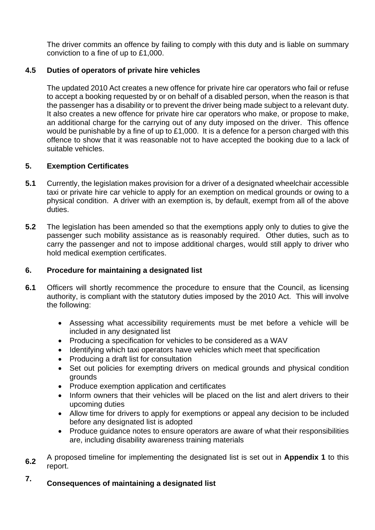The driver commits an offence by failing to comply with this duty and is liable on summary conviction to a fine of up to £1,000.

#### **4.5 Duties of operators of private hire vehicles**

The updated 2010 Act creates a new offence for private hire car operators who fail or refuse to accept a booking requested by or on behalf of a disabled person, when the reason is that the passenger has a disability or to prevent the driver being made subject to a relevant duty. It also creates a new offence for private hire car operators who make, or propose to make, an additional charge for the carrying out of any duty imposed on the driver. This offence would be punishable by a fine of up to £1,000. It is a defence for a person charged with this offence to show that it was reasonable not to have accepted the booking due to a lack of suitable vehicles.

#### **5. Exemption Certificates**

- **5.1** Currently, the legislation makes provision for a driver of a designated wheelchair accessible taxi or private hire car vehicle to apply for an exemption on medical grounds or owing to a physical condition. A driver with an exemption is, by default, exempt from all of the above duties.
- **5.2** The legislation has been amended so that the exemptions apply only to duties to give the passenger such mobility assistance as is reasonably required. Other duties, such as to carry the passenger and not to impose additional charges, would still apply to driver who hold medical exemption certificates.

#### **6. Procedure for maintaining a designated list**

- **6.1** Officers will shortly recommence the procedure to ensure that the Council, as licensing authority, is compliant with the statutory duties imposed by the 2010 Act. This will involve the following:
	- Assessing what accessibility requirements must be met before a vehicle will be included in any designated list
	- Producing a specification for vehicles to be considered as a WAV
	- Identifying which taxi operators have vehicles which meet that specification
	- Producing a draft list for consultation
	- Set out policies for exempting drivers on medical grounds and physical condition grounds
	- Produce exemption application and certificates
	- Inform owners that their vehicles will be placed on the list and alert drivers to their upcoming duties
	- Allow time for drivers to apply for exemptions or appeal any decision to be included before any designated list is adopted
	- Produce guidance notes to ensure operators are aware of what their responsibilities are, including disability awareness training materials
- **6.2** A proposed timeline for implementing the designated list is set out in **Appendix 1** to this report.

## **7. Consequences of maintaining a designated list**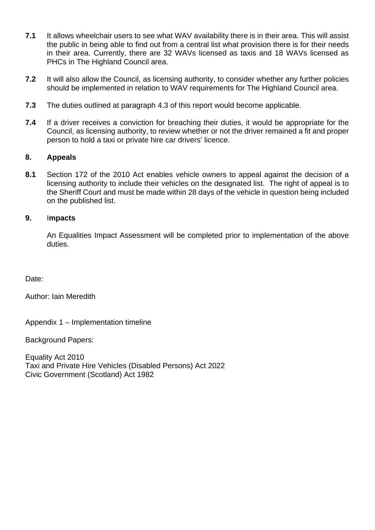- **7.1** It allows wheelchair users to see what WAV availability there is in their area. This will assist the public in being able to find out from a central list what provision there is for their needs in their area. Currently, there are 32 WAVs licensed as taxis and 18 WAVs licensed as PHCs in The Highland Council area.
- **7.2**  It will also allow the Council, as licensing authority, to consider whether any further policies should be implemented in relation to WAV requirements for The Highland Council area.
- **7.3** The duties outlined at paragraph 4.3 of this report would become applicable.
- **7.4** If a driver receives a conviction for breaching their duties, it would be appropriate for the Council, as licensing authority, to review whether or not the driver remained a fit and proper person to hold a taxi or private hire car drivers' licence.

#### **8. Appeals**

**8.1** Section 172 of the 2010 Act enables vehicle owners to appeal against the decision of a licensing authority to include their vehicles on the designated list. The right of appeal is to the Sheriff Court and must be made within 28 days of the vehicle in question being included on the published list.

#### **9.** I**mpacts**

An Equalities Impact Assessment will be completed prior to implementation of the above duties.

Date:

Author: Iain Meredith

Appendix 1 – Implementation timeline

Background Papers:

Equality Act 2010 Taxi and Private Hire Vehicles (Disabled Persons) Act 2022 Civic Government (Scotland) Act 1982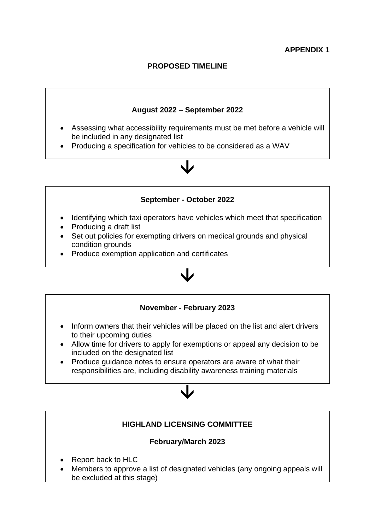## **PROPOSED TIMELINE**

## **August 2022 – September 2022**

- Assessing what accessibility requirements must be met before a vehicle will be included in any designated list
- Producing a specification for vehicles to be considered as a WAV

## **September - October 2022**

 $\downarrow$ 

- Identifying which taxi operators have vehicles which meet that specification
- Producing a draft list
- Set out policies for exempting drivers on medical grounds and physical condition grounds
- Produce exemption application and certificates

## **November - February 2023**

 $\downarrow$ 

- Inform owners that their vehicles will be placed on the list and alert drivers to their upcoming duties
- Allow time for drivers to apply for exemptions or appeal any decision to be included on the designated list
- Produce quidance notes to ensure operators are aware of what their responsibilities are, including disability awareness training materials

# **HIGHLAND LICENSING COMMITTEE February/March 2023**  • Report back to HLC • Members to approve a list of designated vehicles (any ongoing appeals will be excluded at this stage)

 $\downarrow$